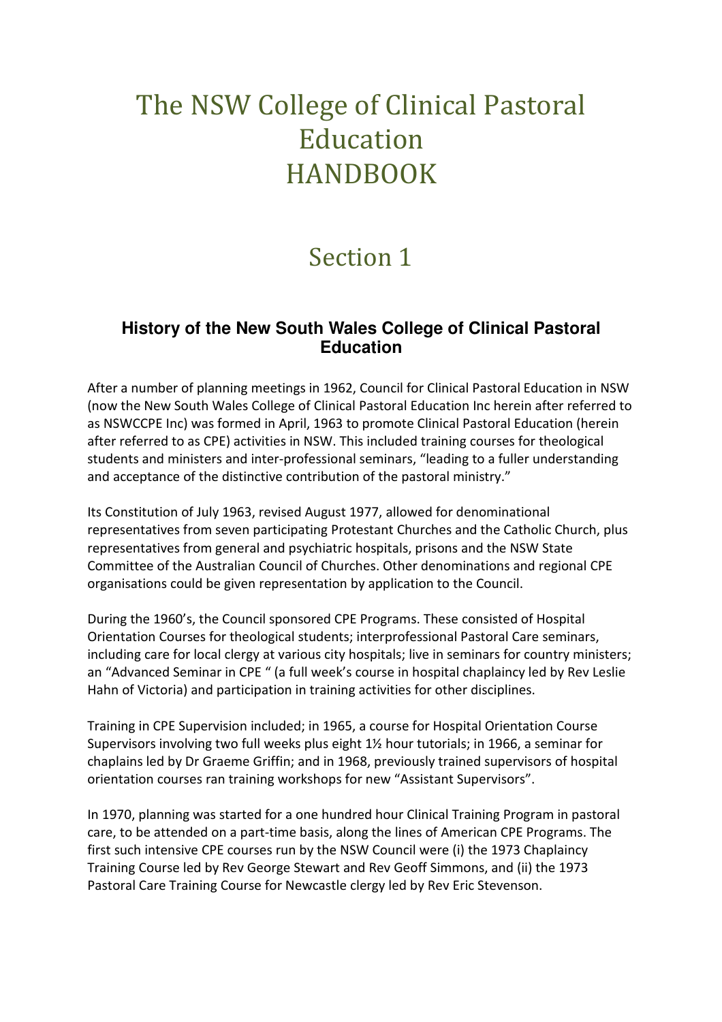## The NSW College of Clinical Pastoral Education HANDBOOK

## Section 1

## **History of the New South Wales College of Clinical Pastoral Education**

After a number of planning meetings in 1962, Council for Clinical Pastoral Education in NSW (now the New South Wales College of Clinical Pastoral Education Inc herein after referred to as NSWCCPE Inc) was formed in April, 1963 to promote Clinical Pastoral Education (herein after referred to as CPE) activities in NSW. This included training courses for theological students and ministers and inter-professional seminars, "leading to a fuller understanding and acceptance of the distinctive contribution of the pastoral ministry."

Its Constitution of July 1963, revised August 1977, allowed for denominational representatives from seven participating Protestant Churches and the Catholic Church, plus representatives from general and psychiatric hospitals, prisons and the NSW State Committee of the Australian Council of Churches. Other denominations and regional CPE organisations could be given representation by application to the Council.

During the 1960's, the Council sponsored CPE Programs. These consisted of Hospital Orientation Courses for theological students; interprofessional Pastoral Care seminars, including care for local clergy at various city hospitals; live in seminars for country ministers; an "Advanced Seminar in CPE " (a full week's course in hospital chaplaincy led by Rev Leslie Hahn of Victoria) and participation in training activities for other disciplines.

Training in CPE Supervision included; in 1965, a course for Hospital Orientation Course Supervisors involving two full weeks plus eight 1½ hour tutorials; in 1966, a seminar for chaplains led by Dr Graeme Griffin; and in 1968, previously trained supervisors of hospital orientation courses ran training workshops for new "Assistant Supervisors".

In 1970, planning was started for a one hundred hour Clinical Training Program in pastoral care, to be attended on a part-time basis, along the lines of American CPE Programs. The first such intensive CPE courses run by the NSW Council were (i) the 1973 Chaplaincy Training Course led by Rev George Stewart and Rev Geoff Simmons, and (ii) the 1973 Pastoral Care Training Course for Newcastle clergy led by Rev Eric Stevenson.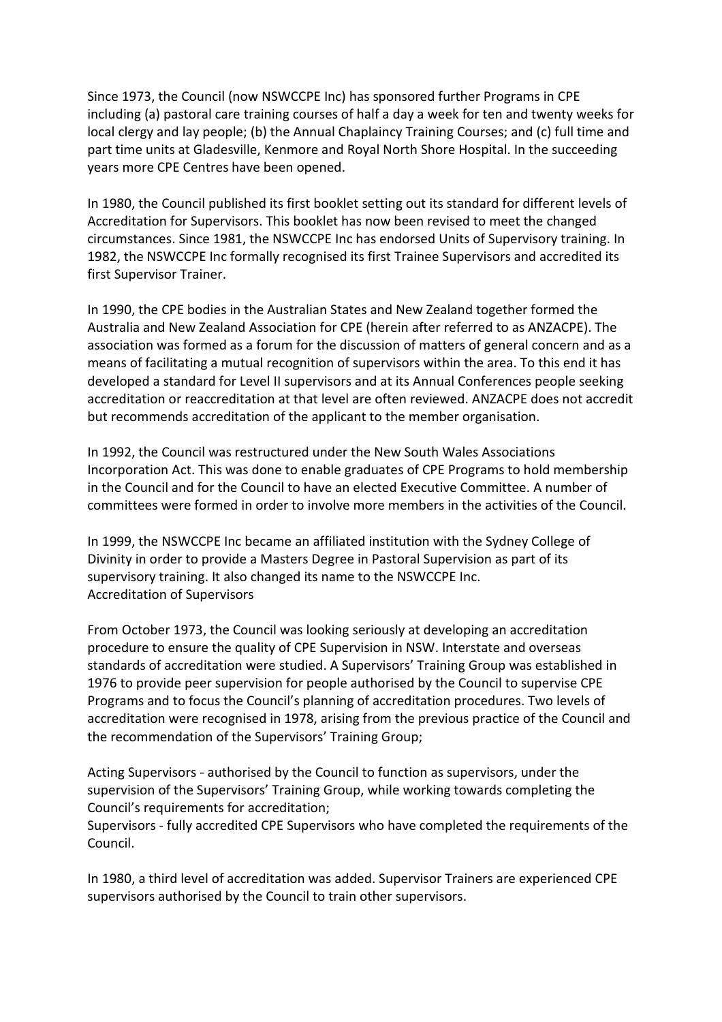Since 1973, the Council (now NSWCCPE Inc) has sponsored further Programs in CPE including (a) pastoral care training courses of half a day a week for ten and twenty weeks for local clergy and lay people; (b) the Annual Chaplaincy Training Courses; and (c) full time and part time units at Gladesville, Kenmore and Royal North Shore Hospital. In the succeeding years more CPE Centres have been opened.

In 1980, the Council published its first booklet setting out its standard for different levels of Accreditation for Supervisors. This booklet has now been revised to meet the changed circumstances. Since 1981, the NSWCCPE Inc has endorsed Units of Supervisory training. In 1982, the NSWCCPE Inc formally recognised its first Trainee Supervisors and accredited its first Supervisor Trainer.

In 1990, the CPE bodies in the Australian States and New Zealand together formed the Australia and New Zealand Association for CPE (herein after referred to as ANZACPE). The association was formed as a forum for the discussion of matters of general concern and as a means of facilitating a mutual recognition of supervisors within the area. To this end it has developed a standard for Level II supervisors and at its Annual Conferences people seeking accreditation or reaccreditation at that level are often reviewed. ANZACPE does not accredit but recommends accreditation of the applicant to the member organisation.

In 1992, the Council was restructured under the New South Wales Associations Incorporation Act. This was done to enable graduates of CPE Programs to hold membership in the Council and for the Council to have an elected Executive Committee. A number of committees were formed in order to involve more members in the activities of the Council.

In 1999, the NSWCCPE Inc became an affiliated institution with the Sydney College of Divinity in order to provide a Masters Degree in Pastoral Supervision as part of its supervisory training. It also changed its name to the NSWCCPE Inc. Accreditation of Supervisors

From October 1973, the Council was looking seriously at developing an accreditation procedure to ensure the quality of CPE Supervision in NSW. Interstate and overseas standards of accreditation were studied. A Supervisors' Training Group was established in 1976 to provide peer supervision for people authorised by the Council to supervise CPE Programs and to focus the Council's planning of accreditation procedures. Two levels of accreditation were recognised in 1978, arising from the previous practice of the Council and the recommendation of the Supervisors' Training Group;

Acting Supervisors - authorised by the Council to function as supervisors, under the supervision of the Supervisors' Training Group, while working towards completing the Council's requirements for accreditation;

Supervisors - fully accredited CPE Supervisors who have completed the requirements of the Council.

In 1980, a third level of accreditation was added. Supervisor Trainers are experienced CPE supervisors authorised by the Council to train other supervisors.